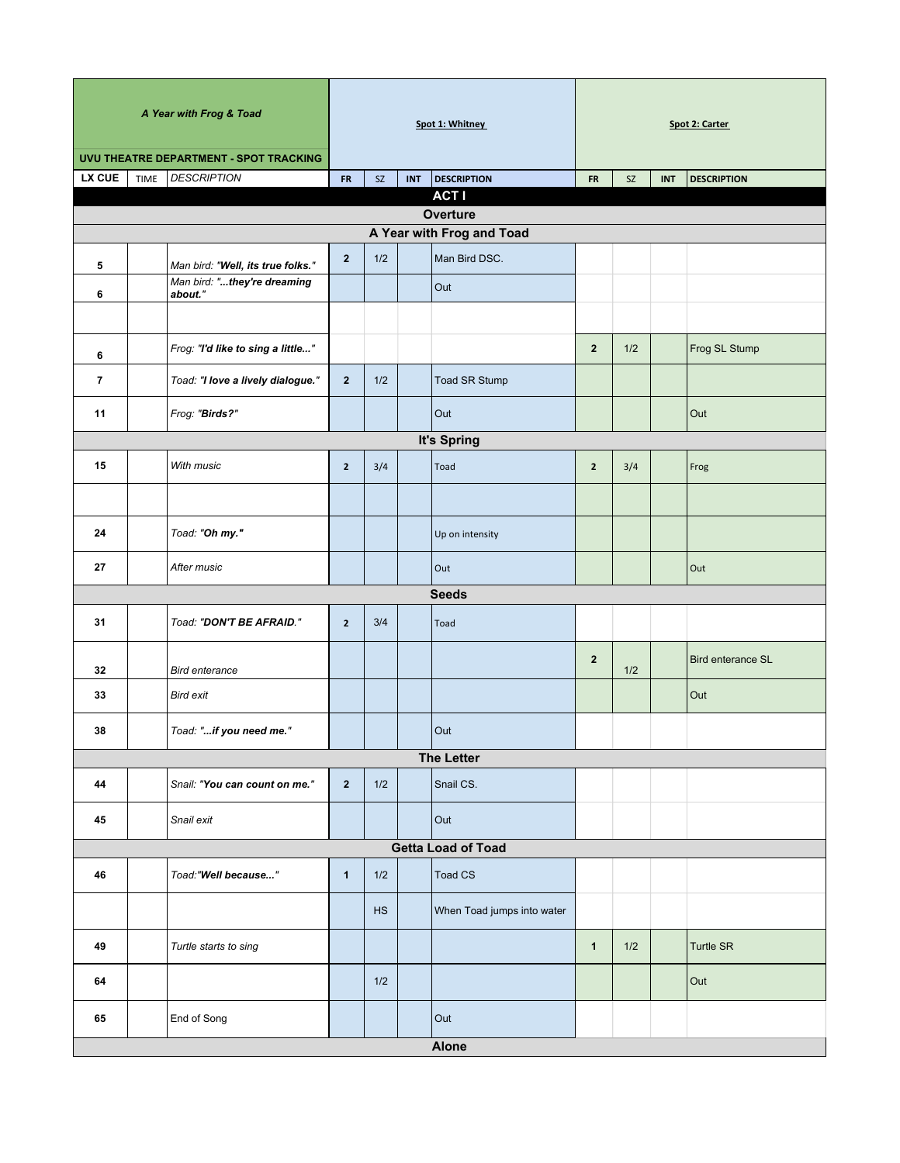| A Year with Frog & Toad                |                                        | Spot 1: Whitney |           |            |                            | Spot 2: Carter |     |            |                          |  |
|----------------------------------------|----------------------------------------|-----------------|-----------|------------|----------------------------|----------------|-----|------------|--------------------------|--|
| UVU THEATRE DEPARTMENT - SPOT TRACKING |                                        |                 |           |            |                            |                |     |            |                          |  |
| <b>LX CUE</b>                          | <b>DESCRIPTION</b><br>TIME             | <b>FR</b>       | <b>SZ</b> | <b>INT</b> | <b>DESCRIPTION</b>         | <b>FR</b>      | SZ  | <b>INT</b> | <b>DESCRIPTION</b>       |  |
|                                        |                                        |                 |           |            | <b>ACTI</b><br>Overture    |                |     |            |                          |  |
|                                        |                                        |                 |           |            | A Year with Frog and Toad  |                |     |            |                          |  |
| 5                                      | Man bird: "Well, its true folks."      | $\overline{2}$  | 1/2       |            | Man Bird DSC.              |                |     |            |                          |  |
| 6                                      | Man bird: "they're dreaming<br>about." |                 |           |            | Out                        |                |     |            |                          |  |
|                                        |                                        |                 |           |            |                            |                |     |            |                          |  |
| 6                                      | Frog: "I'd like to sing a little"      |                 |           |            |                            | $\overline{2}$ | 1/2 |            | Frog SL Stump            |  |
| $\overline{\phantom{a}}$               | Toad: "I love a lively dialogue."      | $\overline{2}$  | 1/2       |            | Toad SR Stump              |                |     |            |                          |  |
| 11                                     | Frog: "Birds?"                         |                 |           |            | Out                        |                |     |            | Out                      |  |
| It's Spring                            |                                        |                 |           |            |                            |                |     |            |                          |  |
| 15                                     | With music                             | $\mathbf{2}$    | 3/4       |            | Toad                       | $\overline{2}$ | 3/4 |            | Frog                     |  |
|                                        |                                        |                 |           |            |                            |                |     |            |                          |  |
| 24                                     | Toad: "Oh my."                         |                 |           |            | Up on intensity            |                |     |            |                          |  |
| 27                                     | After music                            |                 |           |            | Out                        |                |     |            | Out                      |  |
|                                        |                                        |                 |           |            | <b>Seeds</b>               |                |     |            |                          |  |
| 31                                     | Toad: "DON'T BE AFRAID."               | $\mathbf{2}$    | 3/4       |            | Toad                       |                |     |            |                          |  |
| 32                                     | <b>Bird enterance</b>                  |                 |           |            |                            | $\overline{2}$ | 1/2 |            | <b>Bird enterance SL</b> |  |
| 33                                     | <b>Bird exit</b>                       |                 |           |            |                            |                |     |            | Out                      |  |
| 38                                     | Toad: "if you need me."                |                 |           |            | Out                        |                |     |            |                          |  |
|                                        |                                        |                 |           |            | <b>The Letter</b>          |                |     |            |                          |  |
| 44                                     | Snail: "You can count on me."          | $\overline{2}$  | 1/2       |            | Snail CS.                  |                |     |            |                          |  |
| 45                                     | Snail exit                             |                 |           |            | Out                        |                |     |            |                          |  |
| <b>Getta Load of Toad</b>              |                                        |                 |           |            |                            |                |     |            |                          |  |
| 46                                     | Toad:"Well because"                    | $\mathbf{1}$    | 1/2       |            | Toad CS                    |                |     |            |                          |  |
|                                        |                                        |                 | <b>HS</b> |            | When Toad jumps into water |                |     |            |                          |  |
| 49                                     | Turtle starts to sing                  |                 |           |            |                            | $\mathbf{1}$   | 1/2 |            | <b>Turtle SR</b>         |  |
| 64                                     |                                        |                 | 1/2       |            |                            |                |     |            | Out                      |  |
| 65                                     | End of Song                            |                 |           |            | Out                        |                |     |            |                          |  |
| <b>Alone</b>                           |                                        |                 |           |            |                            |                |     |            |                          |  |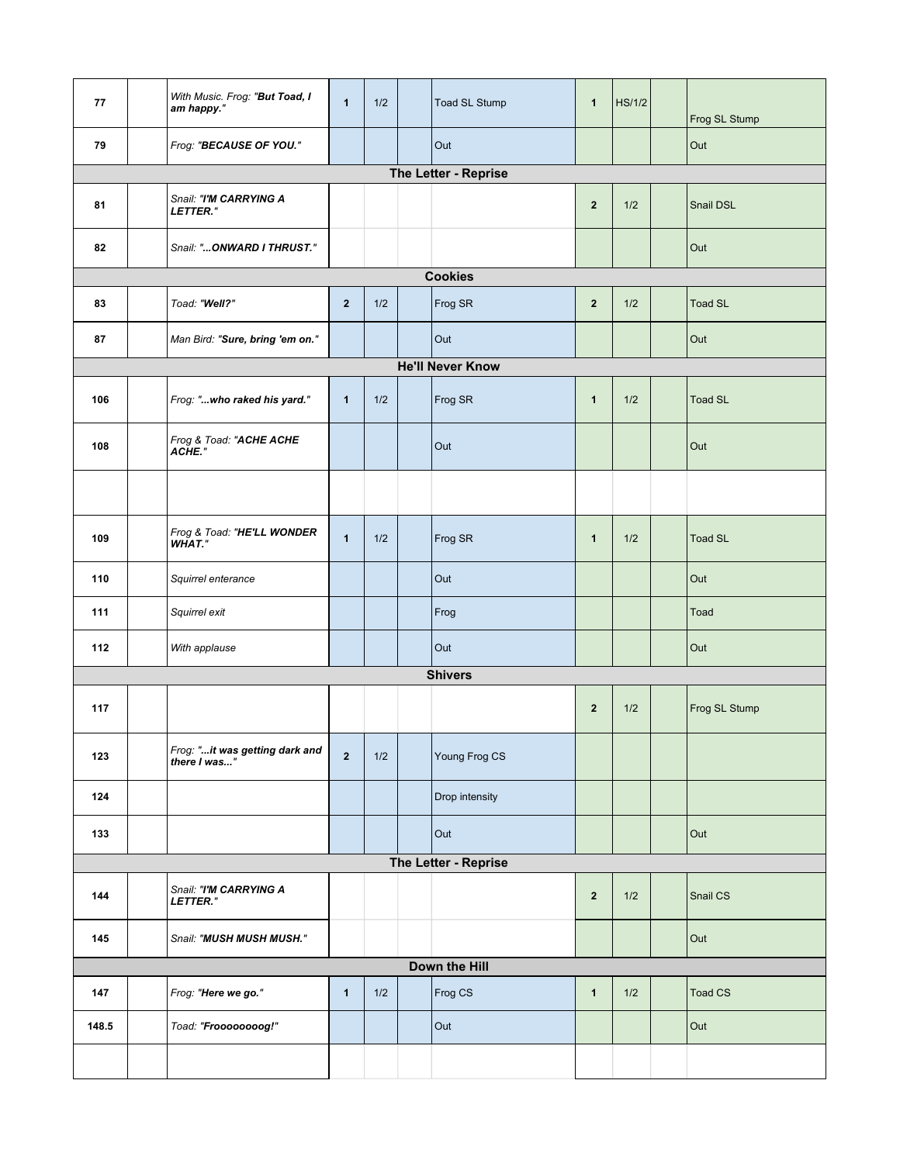| 77                      | With Music. Frog: "But Toad, I<br>am happy."   | $\mathbf{1}$   | 1/2 |  | Toad SL Stump        | $\mathbf{1}$   | <b>HS/1/2</b> |  | Frog SL Stump  |  |
|-------------------------|------------------------------------------------|----------------|-----|--|----------------------|----------------|---------------|--|----------------|--|
| 79                      | Frog: "BECAUSE OF YOU."                        |                |     |  | Out                  |                |               |  | Out            |  |
|                         |                                                |                |     |  | The Letter - Reprise |                |               |  |                |  |
| 81                      | Snail: "I'M CARRYING A<br>LETTER."             |                |     |  |                      | $\overline{2}$ | 1/2           |  | Snail DSL      |  |
| 82                      | Snail: "ONWARD I THRUST."                      |                |     |  |                      |                |               |  | Out            |  |
| <b>Cookies</b>          |                                                |                |     |  |                      |                |               |  |                |  |
| 83                      | Toad: "Well?"                                  | $\overline{2}$ | 1/2 |  | Frog SR              | $\overline{2}$ | 1/2           |  | <b>Toad SL</b> |  |
| 87                      | Man Bird: "Sure, bring 'em on."                |                |     |  | Out                  |                |               |  | Out            |  |
| <b>He'll Never Know</b> |                                                |                |     |  |                      |                |               |  |                |  |
| 106                     | Frog: "who raked his yard."                    | $\mathbf{1}$   | 1/2 |  | Frog SR              | $\mathbf{1}$   | 1/2           |  | <b>Toad SL</b> |  |
| 108                     | Frog & Toad: "ACHE ACHE<br>ACHE."              |                |     |  | Out                  |                |               |  | Out            |  |
|                         |                                                |                |     |  |                      |                |               |  |                |  |
| 109                     | Frog & Toad: "HE'LL WONDER<br>WHAT."           | $\mathbf{1}$   | 1/2 |  | Frog SR              | $\mathbf{1}$   | 1/2           |  | <b>Toad SL</b> |  |
| 110                     | Squirrel enterance                             |                |     |  | Out                  |                |               |  | Out            |  |
| 111                     | Squirrel exit                                  |                |     |  | Frog                 |                |               |  | Toad           |  |
| 112                     | With applause                                  |                |     |  | Out                  |                |               |  | Out            |  |
|                         |                                                |                |     |  | <b>Shivers</b>       |                |               |  |                |  |
| 117                     |                                                |                |     |  |                      | $\overline{2}$ | 1/2           |  | Frog SL Stump  |  |
| 123                     | Frog: "it was getting dark and<br>there I was" | $\overline{2}$ | 1/2 |  | Young Frog CS        |                |               |  |                |  |
| 124                     |                                                |                |     |  | Drop intensity       |                |               |  |                |  |
| 133                     |                                                |                |     |  | Out                  |                |               |  | Out            |  |
| The Letter - Reprise    |                                                |                |     |  |                      |                |               |  |                |  |
| 144                     | Snail: "I'M CARRYING A<br>LETTER."             |                |     |  |                      | $\overline{2}$ | 1/2           |  | Snail CS       |  |
| 145                     | Snail: "MUSH MUSH MUSH."                       |                |     |  |                      |                |               |  | Out            |  |
| Down the Hill           |                                                |                |     |  |                      |                |               |  |                |  |
| 147                     | Frog: "Here we go."                            | $\mathbf{1}$   | 1/2 |  | Frog CS              | $\mathbf{1}$   | 1/2           |  | <b>Toad CS</b> |  |
| 148.5                   | Toad: "Froooooooog!"                           |                |     |  | Out                  |                |               |  | Out            |  |
|                         |                                                |                |     |  |                      |                |               |  |                |  |